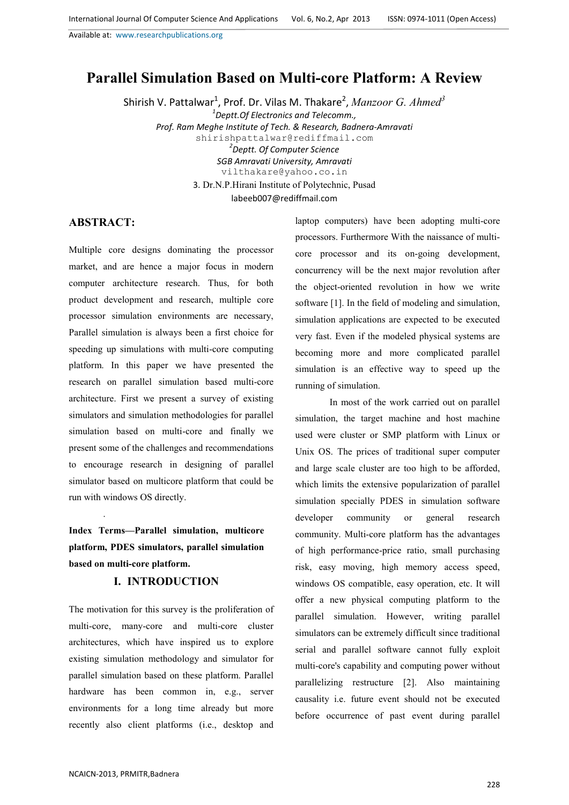# **Parallel Simulation Based on Multi-core Platform: A Review**

Shirish V. Pattalwar<sup>1</sup>, Prof. Dr. Vilas M. Thakare<sup>2</sup>, *Manzoor G. Ahmed<sup>3</sup> 1 Deptt.Of Electronics and Telecomm., Prof. Ram Meghe Institute of Tech. & Research, Badnera-Amravati* shirishpattalwar@rediffmail.com *2 Deptt. Of Computer Science SGB Amravati University, Amravati* vilthakare@yahoo.co.in 3. Dr.N.P.Hirani Institute of Polytechnic, Pusad labeeb007@rediffmail.com

### **ABSTRACT:**

.

Multiple core designs dominating the processor market, and are hence a major focus in modern computer architecture research. Thus, for both product development and research, multiple core processor simulation environments are necessary, Parallel simulation is always been a first choice for speeding up simulations with multi-core computing platform. In this paper we have presented the research on parallel simulation based multi-core architecture. First we present a survey of existing simulators and simulation methodologies for parallel simulation based on multi-core and finally we present some of the challenges and recommendations to encourage research in designing of parallel simulator based on multicore platform that could be run with windows OS directly.

**Index Terms—Parallel simulation, multicore platform, PDES simulators, parallel simulation based on multi-core platform.** 

## **I. INTRODUCTION**

The motivation for this survey is the proliferation of multi-core, many-core and multi-core cluster architectures, which have inspired us to explore existing simulation methodology and simulator for parallel simulation based on these platform. Parallel hardware has been common in, e.g., server environments for a long time already but more recently also client platforms (i.e., desktop and

laptop computers) have been adopting multi-core processors. Furthermore With the naissance of multicore processor and its on-going development, concurrency will be the next major revolution after the object-oriented revolution in how we write software [1]. In the field of modeling and simulation, simulation applications are expected to be executed very fast. Even if the modeled physical systems are becoming more and more complicated parallel simulation is an effective way to speed up the running of simulation.

In most of the work carried out on parallel simulation, the target machine and host machine used were cluster or SMP platform with Linux or Unix OS. The prices of traditional super computer and large scale cluster are too high to be afforded, which limits the extensive popularization of parallel simulation specially PDES in simulation software developer community or general research community. Multi-core platform has the advantages of high performance-price ratio, small purchasing risk, easy moving, high memory access speed, windows OS compatible, easy operation, etc. It will offer a new physical computing platform to the parallel simulation. However, writing parallel simulators can be extremely difficult since traditional serial and parallel software cannot fully exploit multi-core's capability and computing power without parallelizing restructure [2]. Also maintaining causality i.e. future event should not be executed before occurrence of past event during parallel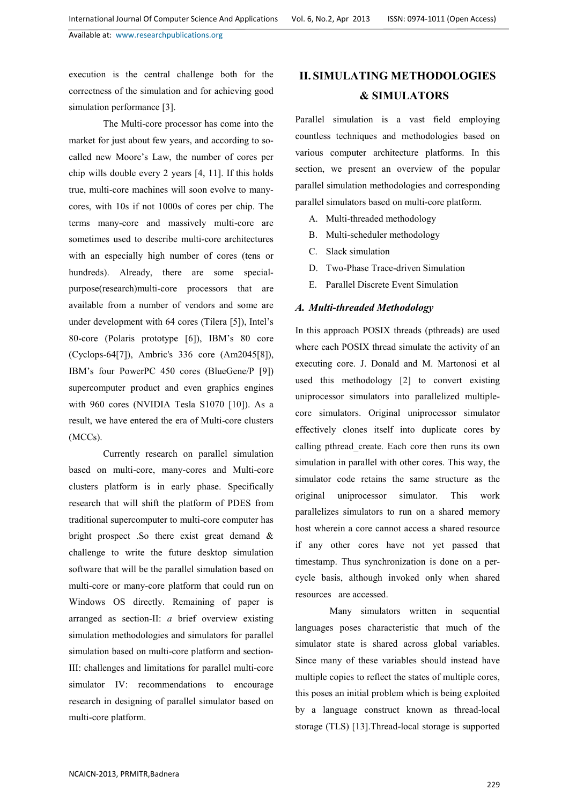execution is the central challenge both for the correctness of the simulation and for achieving good simulation performance [3].

The Multi-core processor has come into the market for just about few years, and according to socalled new Moore's Law, the number of cores per chip wills double every 2 years [4, 11]. If this holds true, multi-core machines will soon evolve to manycores, with 10s if not 1000s of cores per chip. The terms many-core and massively multi-core are sometimes used to describe multi-core architectures with an especially high number of cores (tens or hundreds). Already, there are some specialpurpose(research)multi-core processors that are available from a number of vendors and some are under development with 64 cores (Tilera [5]), Intel's 80-core (Polaris prototype [6]), IBM's 80 core (Cyclops-64[7]), Ambric's 336 core (Am2045[8]), IBM's four PowerPC 450 cores (BlueGene/P [9]) supercomputer product and even graphics engines with 960 cores (NVIDIA Tesla S1070 [10]). As a result, we have entered the era of Multi-core clusters (MCCs).

Currently research on parallel simulation based on multi-core, many-cores and Multi-core clusters platform is in early phase. Specifically research that will shift the platform of PDES from traditional supercomputer to multi-core computer has bright prospect .So there exist great demand & challenge to write the future desktop simulation software that will be the parallel simulation based on multi-core or many-core platform that could run on Windows OS directly. Remaining of paper is arranged as section-II: *a* brief overview existing simulation methodologies and simulators for parallel simulation based on multi-core platform and section-III: challenges and limitations for parallel multi-core simulator IV: recommendations to encourage research in designing of parallel simulator based on multi-core platform.

# **II. SIMULATING METHODOLOGIES & SIMULATORS**

Parallel simulation is a vast field employing countless techniques and methodologies based on various computer architecture platforms. In this section, we present an overview of the popular parallel simulation methodologies and corresponding parallel simulators based on multi-core platform.

- A. Multi-threaded methodology
- B. Multi-scheduler methodology
- C. Slack simulation
- D. Two-Phase Trace-driven Simulation
- E. Parallel Discrete Event Simulation

### *A. Multi-threaded Methodology*

In this approach POSIX threads (pthreads) are used where each POSIX thread simulate the activity of an executing core. J. Donald and M. Martonosi et al used this methodology [2] to convert existing uniprocessor simulators into parallelized multiplecore simulators. Original uniprocessor simulator effectively clones itself into duplicate cores by calling pthread\_create. Each core then runs its own simulation in parallel with other cores. This way, the simulator code retains the same structure as the original uniprocessor simulator. This work parallelizes simulators to run on a shared memory host wherein a core cannot access a shared resource if any other cores have not yet passed that timestamp. Thus synchronization is done on a percycle basis, although invoked only when shared resources are accessed.

Many simulators written in sequential languages poses characteristic that much of the simulator state is shared across global variables. Since many of these variables should instead have multiple copies to reflect the states of multiple cores, this poses an initial problem which is being exploited by a language construct known as thread-local storage (TLS) [13].Thread-local storage is supported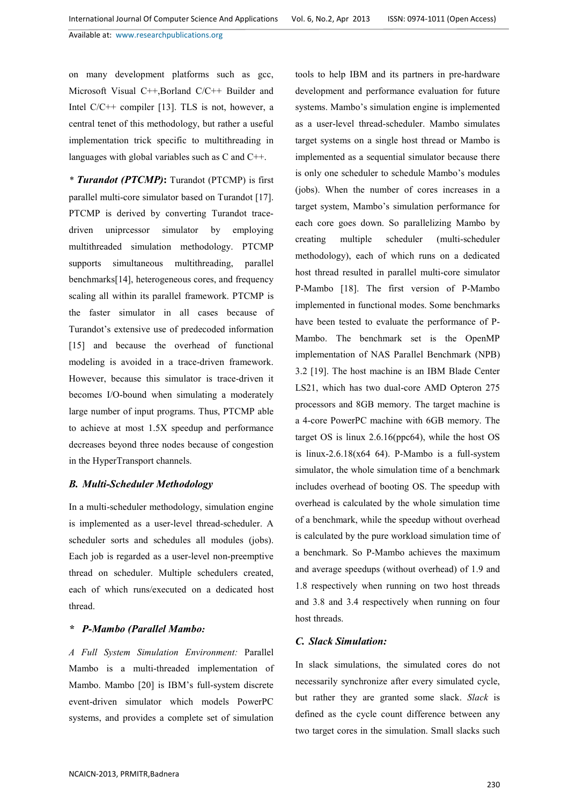on many development platforms such as gcc, Microsoft Visual C++,Borland C/C++ Builder and Intel C/C++ compiler [13]. TLS is not, however, a central tenet of this methodology, but rather a useful implementation trick specific to multithreading in languages with global variables such as C and C++.

*\* Turandot (PTCMP)***:** Turandot (PTCMP) is first parallel multi-core simulator based on Turandot [17]. PTCMP is derived by converting Turandot tracedriven uniprcessor simulator by employing multithreaded simulation methodology. PTCMP supports simultaneous multithreading, parallel benchmarks[14], heterogeneous cores, and frequency scaling all within its parallel framework. PTCMP is the faster simulator in all cases because of Turandot's extensive use of predecoded information [15] and because the overhead of functional modeling is avoided in a trace-driven framework. However, because this simulator is trace-driven it becomes I/O-bound when simulating a moderately large number of input programs. Thus, PTCMP able to achieve at most 1.5X speedup and performance decreases beyond three nodes because of congestion in the HyperTransport channels.

#### *B. Multi-Scheduler Methodology*

In a multi-scheduler methodology, simulation engine is implemented as a user-level thread-scheduler. A scheduler sorts and schedules all modules (jobs). Each job is regarded as a user-level non-preemptive thread on scheduler. Multiple schedulers created, each of which runs/executed on a dedicated host thread.

#### *\* P-Mambo (Parallel Mambo:*

*A Full System Simulation Environment:* Parallel Mambo is a multi-threaded implementation of Mambo. Mambo [20] is IBM's full-system discrete event-driven simulator which models PowerPC systems, and provides a complete set of simulation

tools to help IBM and its partners in pre-hardware development and performance evaluation for future systems. Mambo's simulation engine is implemented as a user-level thread-scheduler. Mambo simulates target systems on a single host thread or Mambo is implemented as a sequential simulator because there is only one scheduler to schedule Mambo's modules (jobs). When the number of cores increases in a target system, Mambo's simulation performance for each core goes down. So parallelizing Mambo by creating multiple scheduler (multi-scheduler methodology), each of which runs on a dedicated host thread resulted in parallel multi-core simulator P-Mambo [18]. The first version of P-Mambo implemented in functional modes. Some benchmarks have been tested to evaluate the performance of P-Mambo. The benchmark set is the OpenMP implementation of NAS Parallel Benchmark (NPB) 3.2 [19]. The host machine is an IBM Blade Center LS21, which has two dual-core AMD Opteron 275 processors and 8GB memory. The target machine is a 4-core PowerPC machine with 6GB memory. The target OS is linux 2.6.16(ppc64), while the host OS is linux-2.6.18 $(x64 64)$ . P-Mambo is a full-system simulator, the whole simulation time of a benchmark includes overhead of booting OS. The speedup with overhead is calculated by the whole simulation time of a benchmark, while the speedup without overhead is calculated by the pure workload simulation time of a benchmark. So P-Mambo achieves the maximum and average speedups (without overhead) of 1.9 and 1.8 respectively when running on two host threads and 3.8 and 3.4 respectively when running on four host threads.

### *C. Slack Simulation:*

In slack simulations, the simulated cores do not necessarily synchronize after every simulated cycle, but rather they are granted some slack. *Slack* is defined as the cycle count difference between any two target cores in the simulation. Small slacks such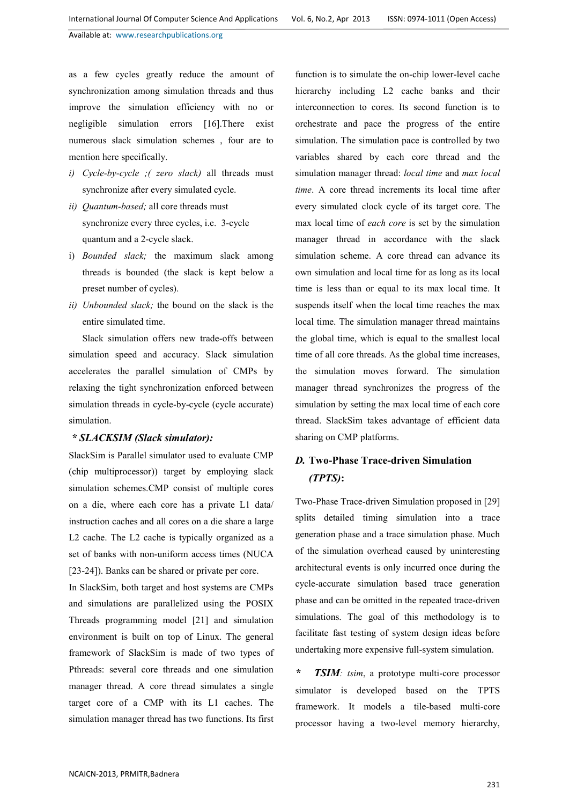as a few cycles greatly reduce the amount of synchronization among simulation threads and thus improve the simulation efficiency with no or negligible simulation errors [16].There exist numerous slack simulation schemes , four are to mention here specifically.

- *i) Cycle-by-cycle ;( zero slack)* all threads must synchronize after every simulated cycle.
- *ii) Quantum-based;* all core threads must synchronize every three cycles, i.e. 3-cycle quantum and a 2-cycle slack.
- i) *Bounded slack;* the maximum slack among threads is bounded (the slack is kept below a preset number of cycles).
- *ii) Unbounded slack;* the bound on the slack is the entire simulated time.

Slack simulation offers new trade-offs between simulation speed and accuracy. Slack simulation accelerates the parallel simulation of CMPs by relaxing the tight synchronization enforced between simulation threads in cycle-by-cycle (cycle accurate) simulation.

## *\* SLACKSIM (Slack simulator):*

SlackSim is Parallel simulator used to evaluate CMP (chip multiprocessor)) target by employing slack simulation schemes.CMP consist of multiple cores on a die, where each core has a private L1 data/ instruction caches and all cores on a die share a large L2 cache. The L2 cache is typically organized as a set of banks with non-uniform access times (NUCA [23-24]). Banks can be shared or private per core.

In SlackSim, both target and host systems are CMPs and simulations are parallelized using the POSIX Threads programming model [21] and simulation environment is built on top of Linux. The general framework of SlackSim is made of two types of Pthreads: several core threads and one simulation manager thread. A core thread simulates a single target core of a CMP with its L1 caches. The simulation manager thread has two functions. Its first

function is to simulate the on-chip lower-level cache hierarchy including L<sub>2</sub> cache banks and their interconnection to cores. Its second function is to orchestrate and pace the progress of the entire simulation. The simulation pace is controlled by two variables shared by each core thread and the simulation manager thread: *local time* and *max local time*. A core thread increments its local time after every simulated clock cycle of its target core. The max local time of *each core* is set by the simulation manager thread in accordance with the slack simulation scheme. A core thread can advance its own simulation and local time for as long as its local time is less than or equal to its max local time. It suspends itself when the local time reaches the max local time. The simulation manager thread maintains the global time, which is equal to the smallest local time of all core threads. As the global time increases, the simulation moves forward. The simulation manager thread synchronizes the progress of the simulation by setting the max local time of each core thread. SlackSim takes advantage of efficient data sharing on CMP platforms.

## *D.* **Two-Phase Trace-driven Simulation**  *(TPTS)***:**

Two-Phase Trace-driven Simulation proposed in [29] splits detailed timing simulation into a trace generation phase and a trace simulation phase. Much of the simulation overhead caused by uninteresting architectural events is only incurred once during the cycle-accurate simulation based trace generation phase and can be omitted in the repeated trace-driven simulations. The goal of this methodology is to facilitate fast testing of system design ideas before undertaking more expensive full-system simulation.

*\* TSIM: tsim*, a prototype multi-core processor simulator is developed based on the TPTS framework. It models a tile-based multi-core processor having a two-level memory hierarchy,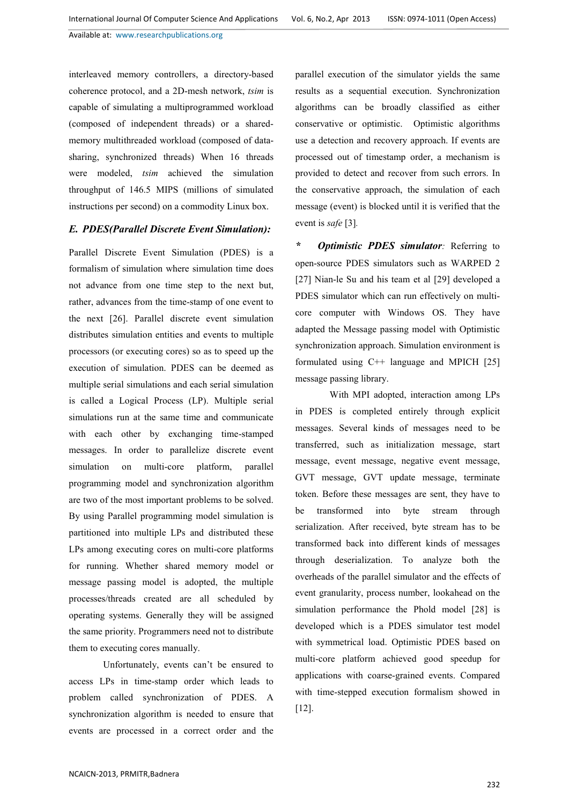interleaved memory controllers, a directory-based coherence protocol, and a 2D-mesh network, *tsim* is capable of simulating a multiprogrammed workload (composed of independent threads) or a sharedmemory multithreaded workload (composed of datasharing, synchronized threads) When 16 threads were modeled, *tsim* achieved the simulation throughput of 146.5 MIPS (millions of simulated instructions per second) on a commodity Linux box.

### *E. PDES(Parallel Discrete Event Simulation):*

Parallel Discrete Event Simulation (PDES) is a formalism of simulation where simulation time does not advance from one time step to the next but, rather, advances from the time-stamp of one event to the next [26]. Parallel discrete event simulation distributes simulation entities and events to multiple processors (or executing cores) so as to speed up the execution of simulation. PDES can be deemed as multiple serial simulations and each serial simulation is called a Logical Process (LP). Multiple serial simulations run at the same time and communicate with each other by exchanging time-stamped messages. In order to parallelize discrete event simulation on multi-core platform, parallel programming model and synchronization algorithm are two of the most important problems to be solved. By using Parallel programming model simulation is partitioned into multiple LPs and distributed these LPs among executing cores on multi-core platforms for running. Whether shared memory model or message passing model is adopted, the multiple processes/threads created are all scheduled by operating systems. Generally they will be assigned the same priority. Programmers need not to distribute them to executing cores manually.

Unfortunately, events can't be ensured to access LPs in time-stamp order which leads to problem called synchronization of PDES. A synchronization algorithm is needed to ensure that events are processed in a correct order and the parallel execution of the simulator yields the same results as a sequential execution. Synchronization algorithms can be broadly classified as either conservative or optimistic. Optimistic algorithms use a detection and recovery approach. If events are processed out of timestamp order, a mechanism is provided to detect and recover from such errors. In the conservative approach, the simulation of each message (event) is blocked until it is verified that the event is *safe* [3]*.* 

*\* Optimistic PDES simulator:* Referring to open-source PDES simulators such as WARPED 2 [27] Nian-le Su and his team et al [29] developed a PDES simulator which can run effectively on multicore computer with Windows OS. They have adapted the Message passing model with Optimistic synchronization approach. Simulation environment is formulated using C++ language and MPICH [25] message passing library.

With MPI adopted, interaction among LPs in PDES is completed entirely through explicit messages. Several kinds of messages need to be transferred, such as initialization message, start message, event message, negative event message, GVT message, GVT update message, terminate token. Before these messages are sent, they have to be transformed into byte stream through serialization. After received, byte stream has to be transformed back into different kinds of messages through deserialization. To analyze both the overheads of the parallel simulator and the effects of event granularity, process number, lookahead on the simulation performance the Phold model [28] is developed which is a PDES simulator test model with symmetrical load. Optimistic PDES based on multi-core platform achieved good speedup for applications with coarse-grained events. Compared with time-stepped execution formalism showed in [12].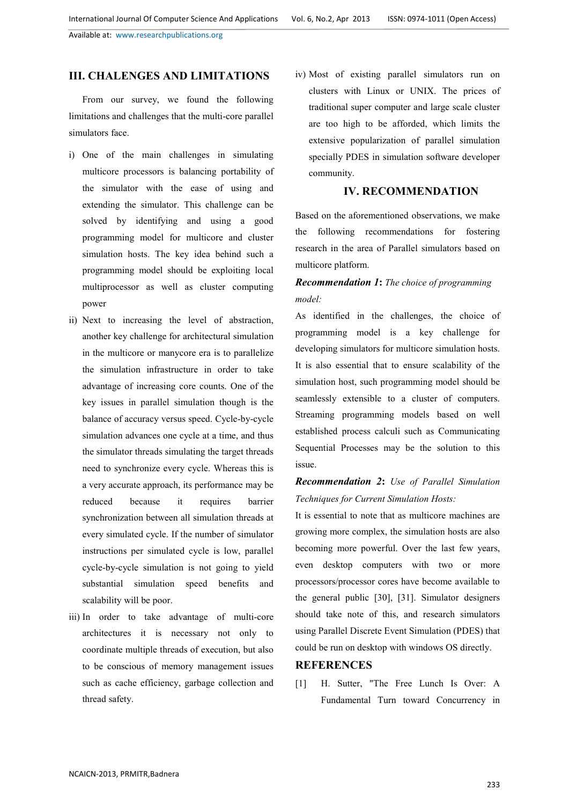## **III. CHALENGES AND LIMITATIONS**

From our survey, we found the following limitations and challenges that the multi-core parallel simulators face.

- i) One of the main challenges in simulating multicore processors is balancing portability of the simulator with the ease of using and extending the simulator. This challenge can be solved by identifying and using a good programming model for multicore and cluster simulation hosts. The key idea behind such a programming model should be exploiting local multiprocessor as well as cluster computing power
- ii) Next to increasing the level of abstraction, another key challenge for architectural simulation in the multicore or manycore era is to parallelize the simulation infrastructure in order to take advantage of increasing core counts. One of the key issues in parallel simulation though is the balance of accuracy versus speed. Cycle-by-cycle simulation advances one cycle at a time, and thus the simulator threads simulating the target threads need to synchronize every cycle. Whereas this is a very accurate approach, its performance may be reduced because it requires barrier synchronization between all simulation threads at every simulated cycle. If the number of simulator instructions per simulated cycle is low, parallel cycle-by-cycle simulation is not going to yield substantial simulation speed benefits and scalability will be poor.
- iii) In order to take advantage of multi-core architectures it is necessary not only to coordinate multiple threads of execution, but also to be conscious of memory management issues such as cache efficiency, garbage collection and thread safety.

iv) Most of existing parallel simulators run on clusters with Linux or UNIX. The prices of traditional super computer and large scale cluster are too high to be afforded, which limits the extensive popularization of parallel simulation specially PDES in simulation software developer community.

### **IV. RECOMMENDATION**

Based on the aforementioned observations, we make the following recommendations for fostering research in the area of Parallel simulators based on multicore platform.

## *Recommendation 1***:** *The choice of programming model:*

As identified in the challenges, the choice of programming model is a key challenge for developing simulators for multicore simulation hosts. It is also essential that to ensure scalability of the simulation host, such programming model should be seamlessly extensible to a cluster of computers. Streaming programming models based on well established process calculi such as Communicating Sequential Processes may be the solution to this issue.

## *Recommendation 2***:** *Use of Parallel Simulation Techniques for Current Simulation Hosts:*

It is essential to note that as multicore machines are growing more complex, the simulation hosts are also becoming more powerful. Over the last few years, even desktop computers with two or more processors/processor cores have become available to the general public [30], [31]. Simulator designers should take note of this, and research simulators using Parallel Discrete Event Simulation (PDES) that could be run on desktop with windows OS directly.

#### **REFERENCES**

[1] H. Sutter, "The Free Lunch Is Over: A Fundamental Turn toward Concurrency in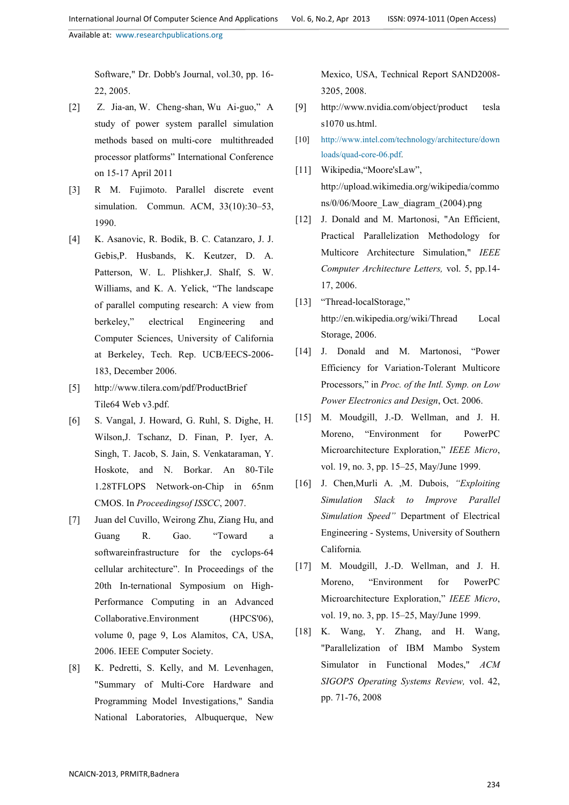Software," Dr. Dobb's Journal, vol.30, pp. 16- 22, 2005.

- [2] Z. Jia-an, W. Cheng-shan, Wu Ai-guo," A study of power system parallel simulation methods based on multi-core multithreaded processor platforms" International Conference on 15-17 April 2011
- [3] R M. Fujimoto. Parallel discrete event simulation. Commun. ACM, 33(10):30–53, 1990.
- [4] K. Asanovic, R. Bodik, B. C. Catanzaro, J. J. Gebis,P. Husbands, K. Keutzer, D. A. Patterson, W. L. Plishker,J. Shalf, S. W. Williams, and K. A. Yelick, "The landscape of parallel computing research: A view from berkeley," electrical Engineering and Computer Sciences, University of California at Berkeley, Tech. Rep. UCB/EECS-2006- 183, December 2006.
- [5] http://www.tilera.com/pdf/ProductBrief Tile64 Web v3.pdf.
- [6] S. Vangal, J. Howard, G. Ruhl, S. Dighe, H. Wilson,J. Tschanz, D. Finan, P. Iyer, A. Singh, T. Jacob, S. Jain, S. Venkataraman, Y. Hoskote, and N. Borkar. An 80-Tile 1.28TFLOPS Network-on-Chip in 65nm CMOS. In *Proceedingsof ISSCC*, 2007.
- [7] Juan del Cuvillo, Weirong Zhu, Ziang Hu, and Guang R. Gao. "Toward a softwareinfrastructure for the cyclops-64 cellular architecture". In Proceedings of the 20th In-ternational Symposium on High-Performance Computing in an Advanced Collaborative.Environment (HPCS'06), volume 0, page 9, Los Alamitos, CA, USA, 2006. IEEE Computer Society.
- [8] K. Pedretti, S. Kelly, and M. Levenhagen, "Summary of Multi-Core Hardware and Programming Model Investigations," Sandia National Laboratories, Albuquerque, New

Mexico, USA, Technical Report SAND2008- 3205, 2008.

- [9] http://www.nvidia.com/object/product tesla s1070 us.html.
- [10] http://www.intel.com/technology/architecture/down loads/quad-core-06.pdf.
- [11] Wikipedia, "Moore'sLaw", http://upload.wikimedia.org/wikipedia/commo ns/0/06/Moore\_Law\_diagram\_(2004).png
- [12] J. Donald and M. Martonosi, "An Efficient, Practical Parallelization Methodology for Multicore Architecture Simulation," *IEEE Computer Architecture Letters,* vol. 5, pp.14- 17, 2006.
- [13] "Thread-localStorage," http://en.wikipedia.org/wiki/Thread Local Storage, 2006.
- [14] J. Donald and M. Martonosi, "Power Efficiency for Variation-Tolerant Multicore Processors," in *Proc. of the Intl. Symp. on Low Power Electronics and Design*, Oct. 2006.
- [15] M. Moudgill, J.-D. Wellman, and J. H. Moreno, "Environment for PowerPC Microarchitecture Exploration," *IEEE Micro*, vol. 19, no. 3, pp. 15–25, May/June 1999.
- [16] J. Chen,Murli A. ,M. Dubois, *"Exploiting Simulation Slack to Improve Parallel Simulation Speed"* Department of Electrical Engineering - Systems, University of Southern California*.*
- [17] M. Moudgill, J.-D. Wellman, and J. H. Moreno, "Environment for PowerPC Microarchitecture Exploration," *IEEE Micro*, vol. 19, no. 3, pp. 15–25, May/June 1999.
- [18] K. Wang, Y. Zhang, and H. Wang, "Parallelization of IBM Mambo System Simulator in Functional Modes," *ACM SIGOPS Operating Systems Review,* vol. 42, pp. 71-76, 2008